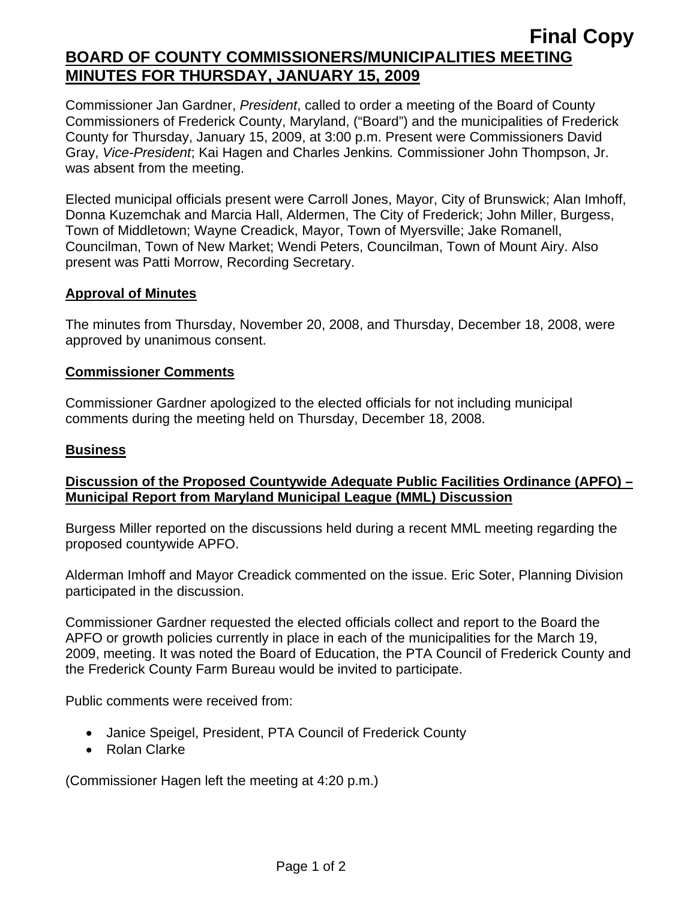# **Final Copy BOARD OF COUNTY COMMISSIONERS/MUNICIPALITIES MEETING MINUTES FOR THURSDAY, JANUARY 15, 2009**

Commissioner Jan Gardner, *President*, called to order a meeting of the Board of County Commissioners of Frederick County, Maryland, ("Board") and the municipalities of Frederick County for Thursday, January 15, 2009, at 3:00 p.m. Present were Commissioners David Gray, *Vice-President*; Kai Hagen and Charles Jenkins*.* Commissioner John Thompson, Jr. was absent from the meeting.

Elected municipal officials present were Carroll Jones, Mayor, City of Brunswick; Alan Imhoff, Donna Kuzemchak and Marcia Hall, Aldermen, The City of Frederick; John Miller, Burgess, Town of Middletown; Wayne Creadick, Mayor, Town of Myersville; Jake Romanell, Councilman, Town of New Market; Wendi Peters, Councilman, Town of Mount Airy. Also present was Patti Morrow, Recording Secretary.

### **Approval of Minutes**

The minutes from Thursday, November 20, 2008, and Thursday, December 18, 2008, were approved by unanimous consent.

### **Commissioner Comments**

Commissioner Gardner apologized to the elected officials for not including municipal comments during the meeting held on Thursday, December 18, 2008.

## **Business**

# **Discussion of the Proposed Countywide Adequate Public Facilities Ordinance (APFO) – Municipal Report from Maryland Municipal League (MML) Discussion**

Burgess Miller reported on the discussions held during a recent MML meeting regarding the proposed countywide APFO.

Alderman Imhoff and Mayor Creadick commented on the issue. Eric Soter, Planning Division participated in the discussion.

Commissioner Gardner requested the elected officials collect and report to the Board the APFO or growth policies currently in place in each of the municipalities for the March 19, 2009, meeting. It was noted the Board of Education, the PTA Council of Frederick County and the Frederick County Farm Bureau would be invited to participate.

Public comments were received from:

- Janice Speigel, President, PTA Council of Frederick County
- Rolan Clarke

(Commissioner Hagen left the meeting at 4:20 p.m.)